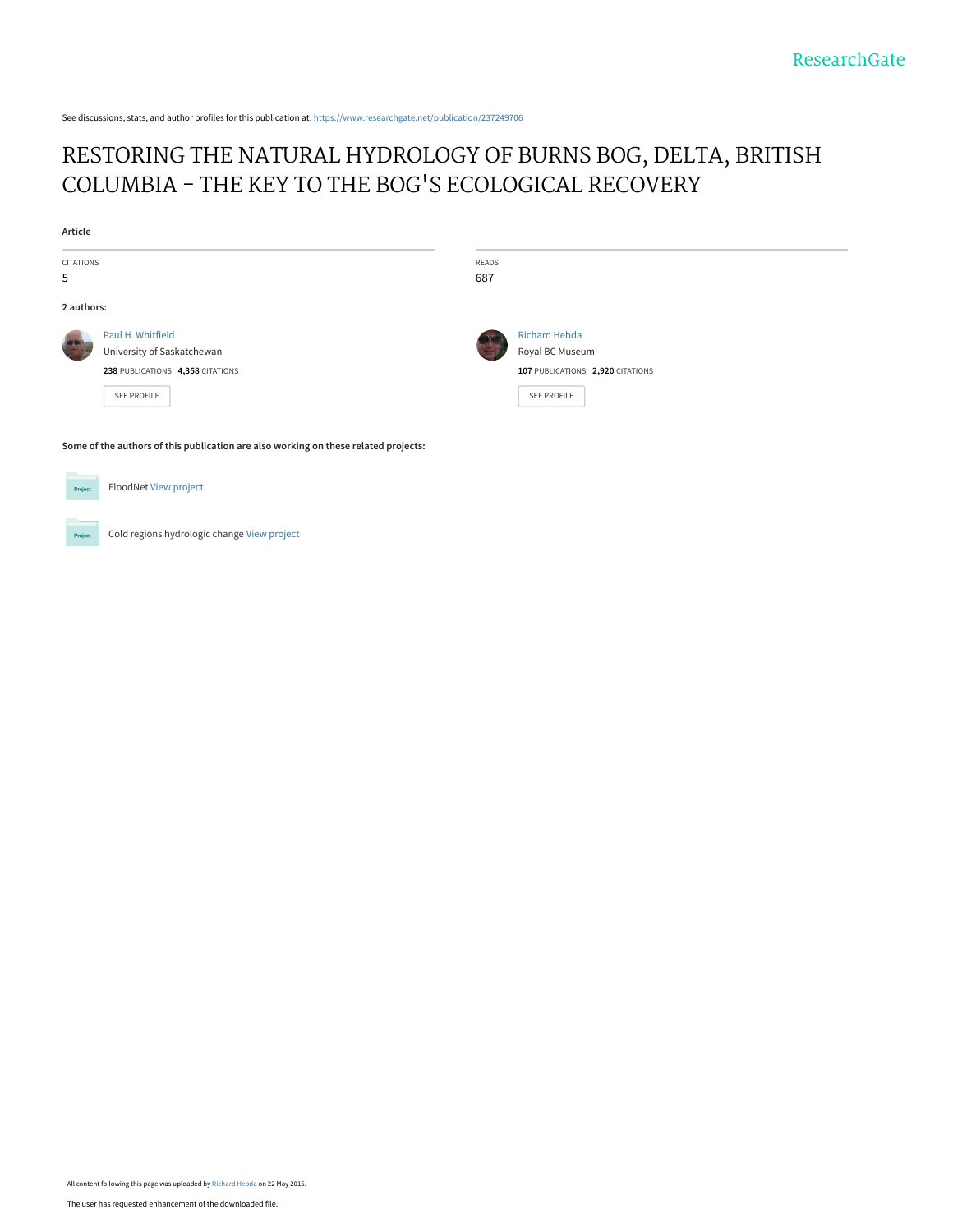See discussions, stats, and author profiles for this publication at: [https://www.researchgate.net/publication/237249706](https://www.researchgate.net/publication/237249706_RESTORING_THE_NATURAL_HYDROLOGY_OF_BURNS_BOG_DELTA_BRITISH_COLUMBIA_-_THE_KEY_TO_THE_BOG%27S_ECOLOGICAL_RECOVERY?enrichId=rgreq-d4651f83ae6f665a837e28648671e172-XXX&enrichSource=Y292ZXJQYWdlOzIzNzI0OTcwNjtBUzoyMzIwMjY4NDY1Mjc0ODlAMTQzMjMzMDkxOTQ4MQ%3D%3D&el=1_x_2&_esc=publicationCoverPdf)

# [RESTORING THE NATURAL HYDROLOGY OF BURNS BOG, DELTA, BRITISH](https://www.researchgate.net/publication/237249706_RESTORING_THE_NATURAL_HYDROLOGY_OF_BURNS_BOG_DELTA_BRITISH_COLUMBIA_-_THE_KEY_TO_THE_BOG%27S_ECOLOGICAL_RECOVERY?enrichId=rgreq-d4651f83ae6f665a837e28648671e172-XXX&enrichSource=Y292ZXJQYWdlOzIzNzI0OTcwNjtBUzoyMzIwMjY4NDY1Mjc0ODlAMTQzMjMzMDkxOTQ4MQ%3D%3D&el=1_x_3&_esc=publicationCoverPdf) COLUMBIA - THE KEY TO THE BOG'S ECOLOGICAL RECOVERY

| Article                                                                             |                                  |       |                                  |
|-------------------------------------------------------------------------------------|----------------------------------|-------|----------------------------------|
| CITATIONS                                                                           |                                  | READS |                                  |
| 5                                                                                   |                                  | 687   |                                  |
| 2 authors:                                                                          |                                  |       |                                  |
|                                                                                     | Paul H. Whitfield                |       | <b>Richard Hebda</b>             |
|                                                                                     | University of Saskatchewan       |       | Royal BC Museum                  |
|                                                                                     | 238 PUBLICATIONS 4,358 CITATIONS |       | 107 PUBLICATIONS 2,920 CITATIONS |
|                                                                                     | SEE PROFILE                      |       | SEE PROFILE                      |
| Some of the authors of this publication are also working on these related projects: |                                  |       |                                  |



FloodNet [View project](https://www.researchgate.net/project/FloodNet-3?enrichId=rgreq-d4651f83ae6f665a837e28648671e172-XXX&enrichSource=Y292ZXJQYWdlOzIzNzI0OTcwNjtBUzoyMzIwMjY4NDY1Mjc0ODlAMTQzMjMzMDkxOTQ4MQ%3D%3D&el=1_x_9&_esc=publicationCoverPdf)

Project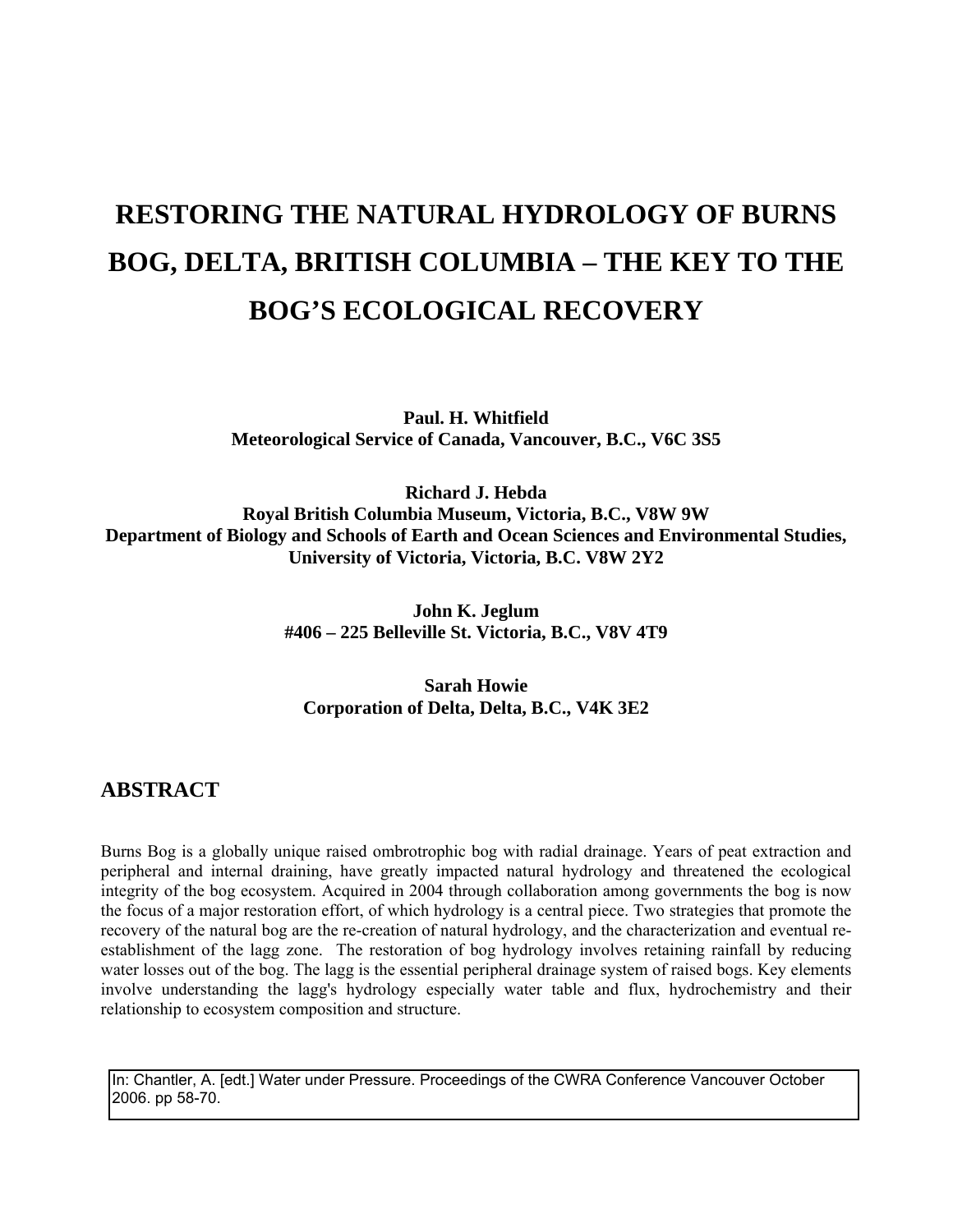# **RESTORING THE NATURAL HYDROLOGY OF BURNS BOG, DELTA, BRITISH COLUMBIA – THE KEY TO THE BOG'S ECOLOGICAL RECOVERY**

**Paul. H. Whitfield Meteorological Service of Canada, Vancouver, B.C., V6C 3S5** 

**Richard J. Hebda Royal British Columbia Museum, Victoria, B.C., V8W 9W Department of Biology and Schools of Earth and Ocean Sciences and Environmental Studies, University of Victoria, Victoria, B.C. V8W 2Y2** 

> **John K. Jeglum #406 – 225 Belleville St. Victoria, B.C., V8V 4T9**

#### **Sarah Howie Corporation of Delta, Delta, B.C., V4K 3E2**

## **ABSTRACT**

Burns Bog is a globally unique raised ombrotrophic bog with radial drainage. Years of peat extraction and peripheral and internal draining, have greatly impacted natural hydrology and threatened the ecological integrity of the bog ecosystem. Acquired in 2004 through collaboration among governments the bog is now the focus of a major restoration effort, of which hydrology is a central piece. Two strategies that promote the recovery of the natural bog are the re-creation of natural hydrology, and the characterization and eventual reestablishment of the lagg zone. The restoration of bog hydrology involves retaining rainfall by reducing water losses out of the bog. The lagg is the essential peripheral drainage system of raised bogs. Key elements involve understanding the lagg's hydrology especially water table and flux, hydrochemistry and their relationship to ecosystem composition and structure.

In: Chantler, A. [edt.] Water under Pressure. Proceedings of the CWRA Conference Vancouver October 2006. pp 58-70.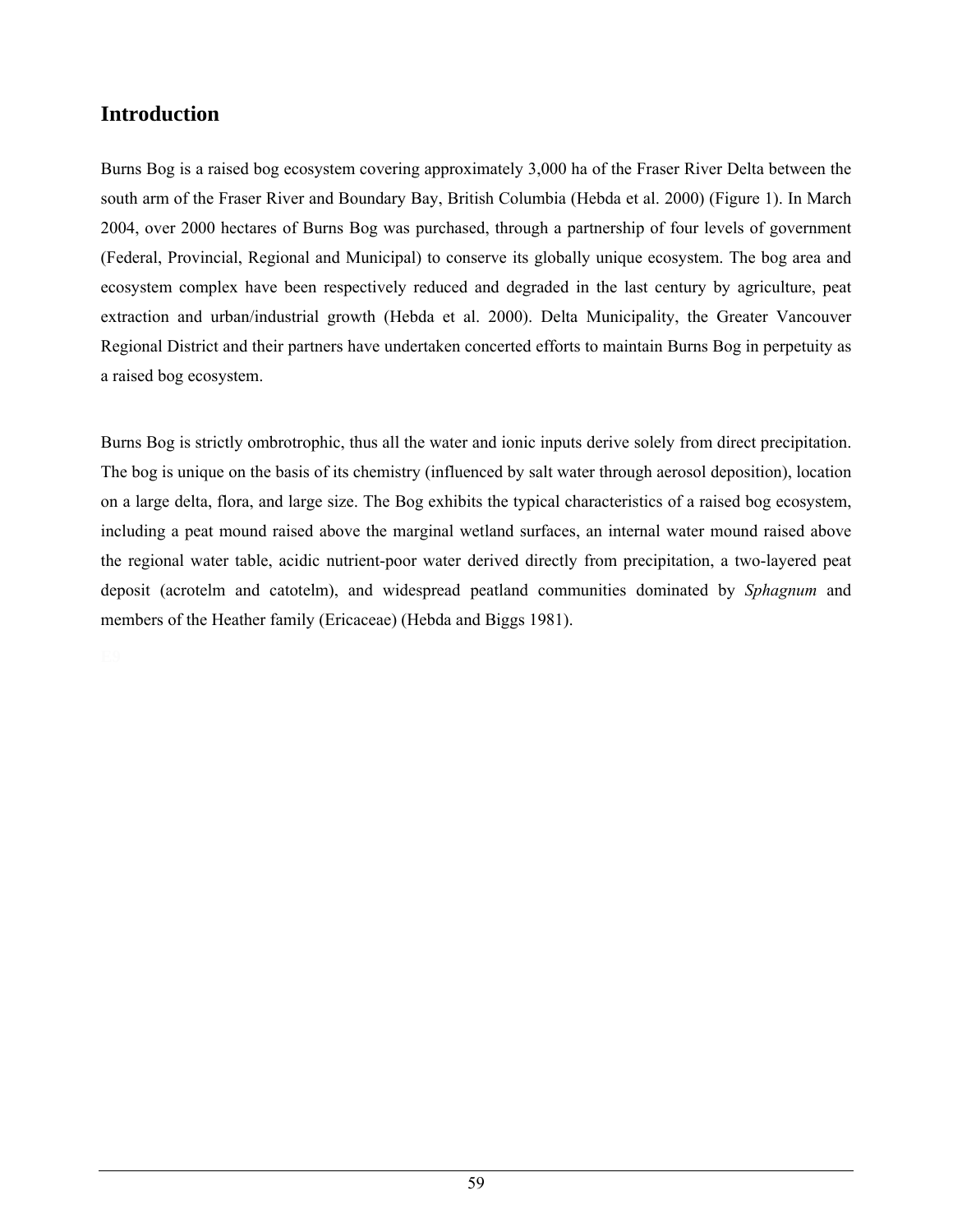# **Introduction**

Burns Bog is a raised bog ecosystem covering approximately 3,000 ha of the Fraser River Delta between the south arm of the Fraser River and Boundary Bay, British Columbia (Hebda et al. 2000) (Figure 1). In March 2004, over 2000 hectares of Burns Bog was purchased, through a partnership of four levels of government (Federal, Provincial, Regional and Municipal) to conserve its globally unique ecosystem. The bog area and ecosystem complex have been respectively reduced and degraded in the last century by agriculture, peat extraction and urban/industrial growth (Hebda et al. 2000). Delta Municipality, the Greater Vancouver Regional District and their partners have undertaken concerted efforts to maintain Burns Bog in perpetuity as a raised bog ecosystem.

Burns Bog is strictly ombrotrophic, thus all the water and ionic inputs derive solely from direct precipitation. The bog is unique on the basis of its chemistry (influenced by salt water through aerosol deposition), location on a large delta, flora, and large size. The Bog exhibits the typical characteristics of a raised bog ecosystem, including a peat mound raised above the marginal wetland surfaces, an internal water mound raised above the regional water table, acidic nutrient-poor water derived directly from precipitation, a two-layered peat deposit (acrotelm and catotelm), and widespread peatland communities dominated by *Sphagnum* and members of the Heather family (Ericaceae) (Hebda and Biggs 1981).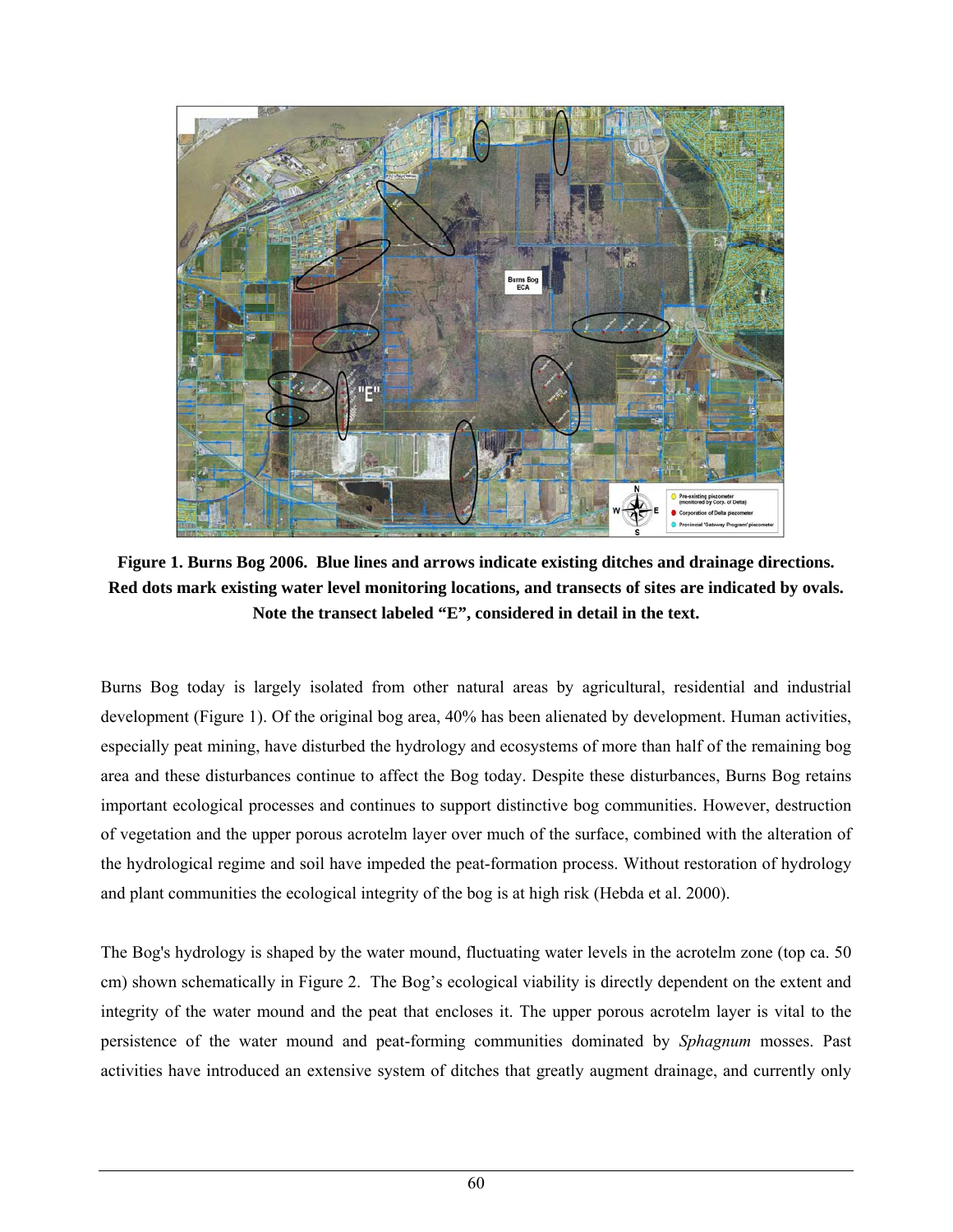

**Figure 1. Burns Bog 2006. Blue lines and arrows indicate existing ditches and drainage directions. Red dots mark existing water level monitoring locations, and transects of sites are indicated by ovals. Note the transect labeled "E", considered in detail in the text.** 

Burns Bog today is largely isolated from other natural areas by agricultural, residential and industrial development (Figure 1). Of the original bog area, 40% has been alienated by development. Human activities, especially peat mining, have disturbed the hydrology and ecosystems of more than half of the remaining bog area and these disturbances continue to affect the Bog today. Despite these disturbances, Burns Bog retains important ecological processes and continues to support distinctive bog communities. However, destruction of vegetation and the upper porous acrotelm layer over much of the surface, combined with the alteration of the hydrological regime and soil have impeded the peat-formation process. Without restoration of hydrology and plant communities the ecological integrity of the bog is at high risk (Hebda et al. 2000).

The Bog's hydrology is shaped by the water mound, fluctuating water levels in the acrotelm zone (top ca. 50 cm) shown schematically in Figure 2. The Bog's ecological viability is directly dependent on the extent and integrity of the water mound and the peat that encloses it. The upper porous acrotelm layer is vital to the persistence of the water mound and peat-forming communities dominated by *Sphagnum* mosses. Past activities have introduced an extensive system of ditches that greatly augment drainage, and currently only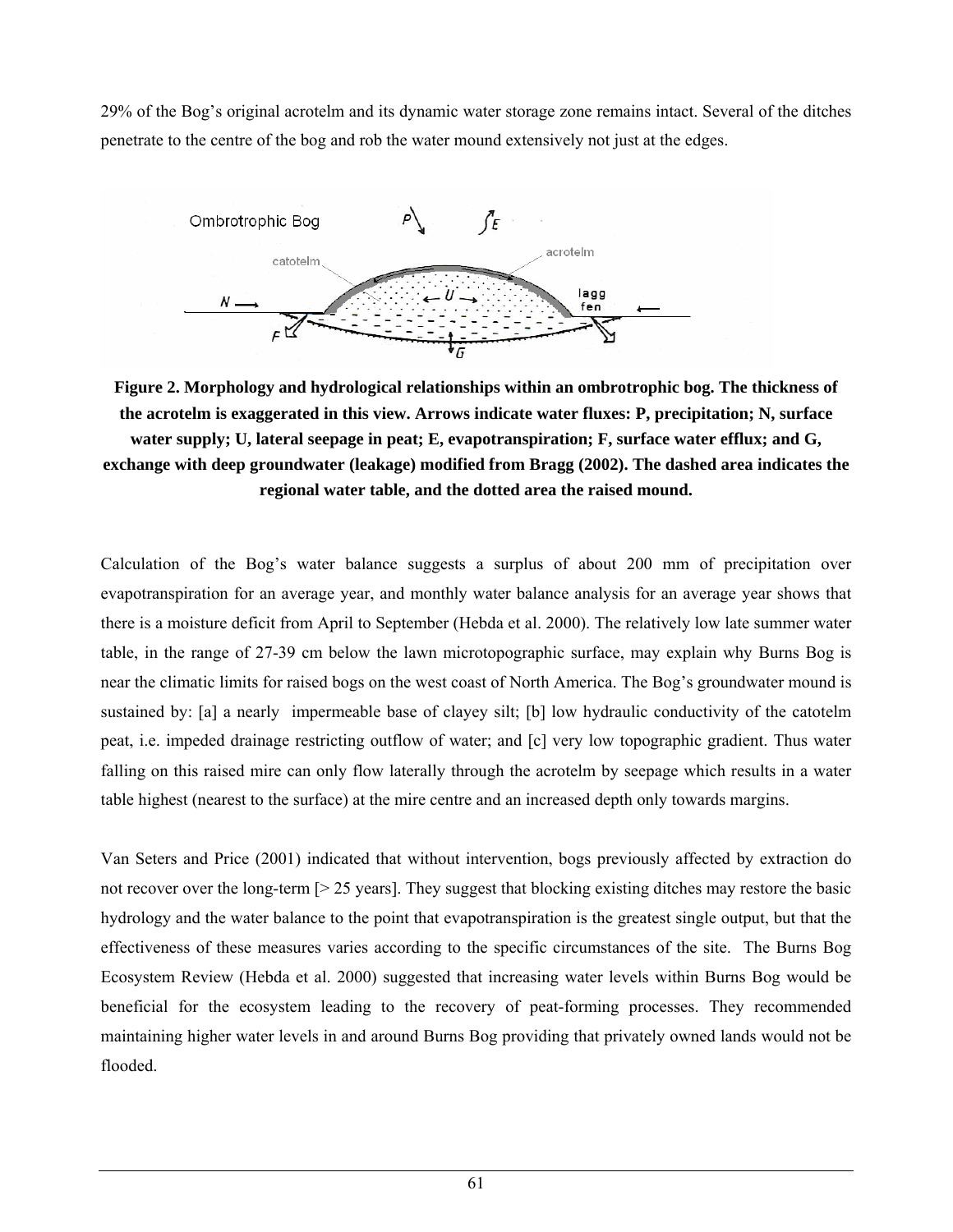29% of the Bog's original acrotelm and its dynamic water storage zone remains intact. Several of the ditches penetrate to the centre of the bog and rob the water mound extensively not just at the edges.



**Figure 2. Morphology and hydrological relationships within an ombrotrophic bog. The thickness of the acrotelm is exaggerated in this view. Arrows indicate water fluxes: P, precipitation; N, surface water supply; U, lateral seepage in peat; E, evapotranspiration; F, surface water efflux; and G, exchange with deep groundwater (leakage) modified from Bragg (2002). The dashed area indicates the regional water table, and the dotted area the raised mound.** 

Calculation of the Bog's water balance suggests a surplus of about 200 mm of precipitation over evapotranspiration for an average year, and monthly water balance analysis for an average year shows that there is a moisture deficit from April to September (Hebda et al. 2000). The relatively low late summer water table, in the range of 27-39 cm below the lawn microtopographic surface, may explain why Burns Bog is near the climatic limits for raised bogs on the west coast of North America. The Bog's groundwater mound is sustained by: [a] a nearly impermeable base of clayey silt; [b] low hydraulic conductivity of the catotelm peat, i.e. impeded drainage restricting outflow of water; and [c] very low topographic gradient. Thus water falling on this raised mire can only flow laterally through the acrotelm by seepage which results in a water table highest (nearest to the surface) at the mire centre and an increased depth only towards margins.

Van Seters and Price (2001) indicated that without intervention, bogs previously affected by extraction do not recover over the long-term [> 25 years]. They suggest that blocking existing ditches may restore the basic hydrology and the water balance to the point that evapotranspiration is the greatest single output, but that the effectiveness of these measures varies according to the specific circumstances of the site. The Burns Bog Ecosystem Review (Hebda et al. 2000) suggested that increasing water levels within Burns Bog would be beneficial for the ecosystem leading to the recovery of peat-forming processes. They recommended maintaining higher water levels in and around Burns Bog providing that privately owned lands would not be flooded.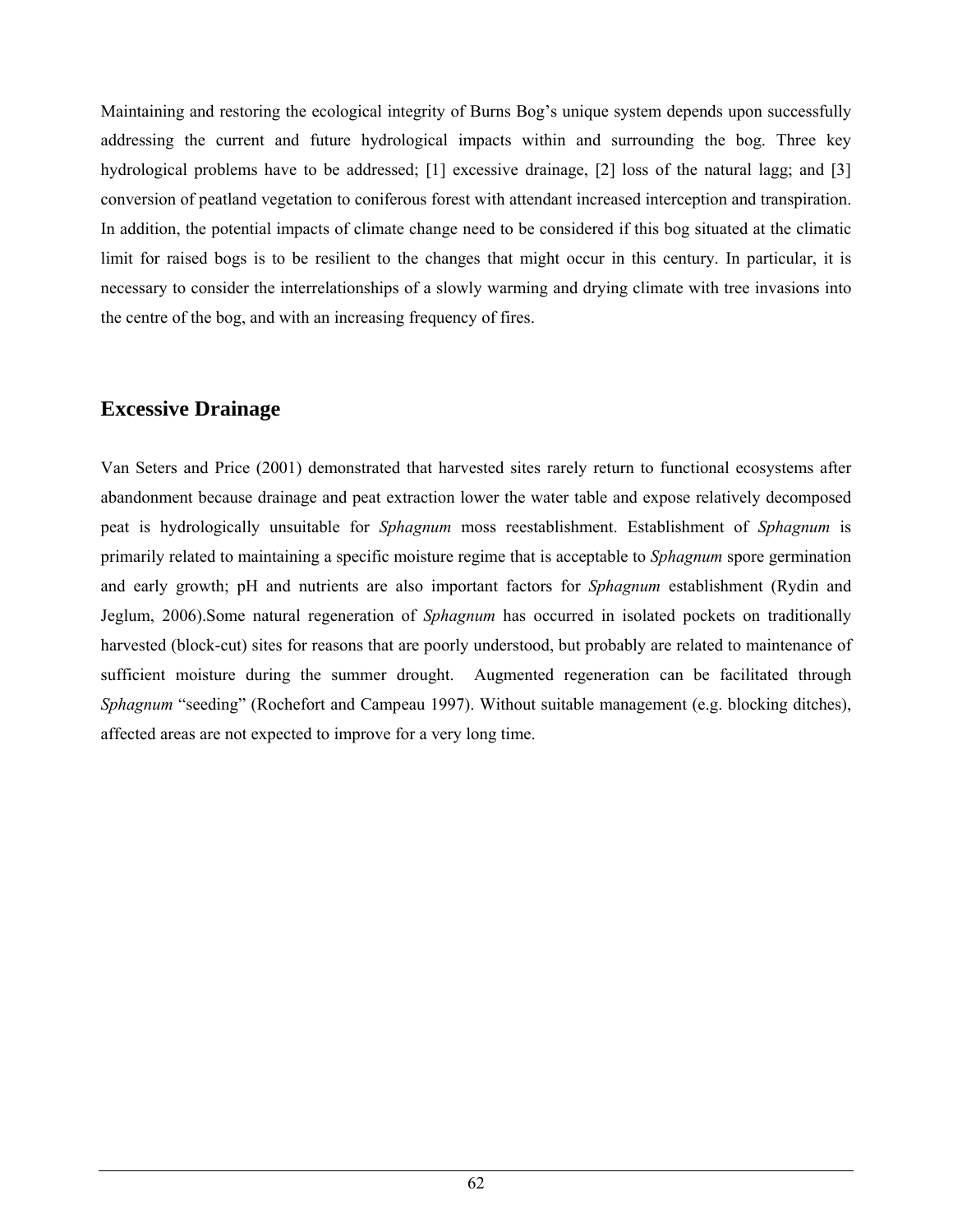Maintaining and restoring the ecological integrity of Burns Bog's unique system depends upon successfully addressing the current and future hydrological impacts within and surrounding the bog. Three key hydrological problems have to be addressed; [1] excessive drainage, [2] loss of the natural lagg; and [3] conversion of peatland vegetation to coniferous forest with attendant increased interception and transpiration. In addition, the potential impacts of climate change need to be considered if this bog situated at the climatic limit for raised bogs is to be resilient to the changes that might occur in this century. In particular, it is necessary to consider the interrelationships of a slowly warming and drying climate with tree invasions into the centre of the bog, and with an increasing frequency of fires.

## **Excessive Drainage**

Van Seters and Price (2001) demonstrated that harvested sites rarely return to functional ecosystems after abandonment because drainage and peat extraction lower the water table and expose relatively decomposed peat is hydrologically unsuitable for *Sphagnum* moss reestablishment. Establishment of *Sphagnum* is primarily related to maintaining a specific moisture regime that is acceptable to *Sphagnum* spore germination and early growth; pH and nutrients are also important factors for *Sphagnum* establishment (Rydin and Jeglum, 2006).Some natural regeneration of *Sphagnum* has occurred in isolated pockets on traditionally harvested (block-cut) sites for reasons that are poorly understood, but probably are related to maintenance of sufficient moisture during the summer drought. Augmented regeneration can be facilitated through *Sphagnum* "seeding" (Rochefort and Campeau 1997). Without suitable management (e.g. blocking ditches), affected areas are not expected to improve for a very long time.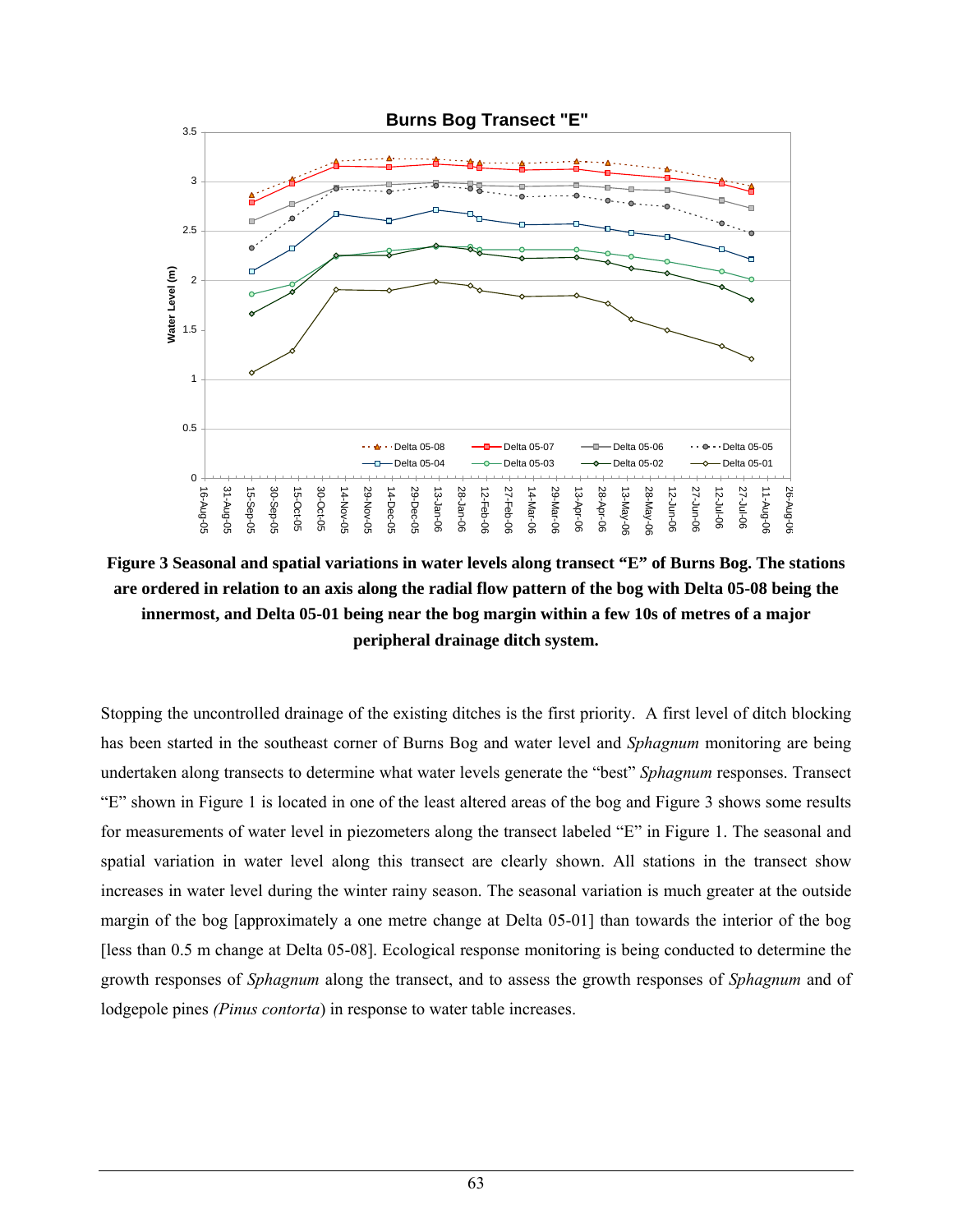

**Figure 3 Seasonal and spatial variations in water levels along transect "E" of Burns Bog. The stations are ordered in relation to an axis along the radial flow pattern of the bog with Delta 05-08 being the innermost, and Delta 05-01 being near the bog margin within a few 10s of metres of a major peripheral drainage ditch system.** 

Stopping the uncontrolled drainage of the existing ditches is the first priority. A first level of ditch blocking has been started in the southeast corner of Burns Bog and water level and *Sphagnum* monitoring are being undertaken along transects to determine what water levels generate the "best" *Sphagnum* responses. Transect "E" shown in Figure 1 is located in one of the least altered areas of the bog and Figure 3 shows some results for measurements of water level in piezometers along the transect labeled "E" in Figure 1. The seasonal and spatial variation in water level along this transect are clearly shown. All stations in the transect show increases in water level during the winter rainy season. The seasonal variation is much greater at the outside margin of the bog [approximately a one metre change at Delta 05-01] than towards the interior of the bog [less than 0.5 m change at Delta 05-08]. Ecological response monitoring is being conducted to determine the growth responses of *Sphagnum* along the transect, and to assess the growth responses of *Sphagnum* and of lodgepole pines *(Pinus contorta*) in response to water table increases.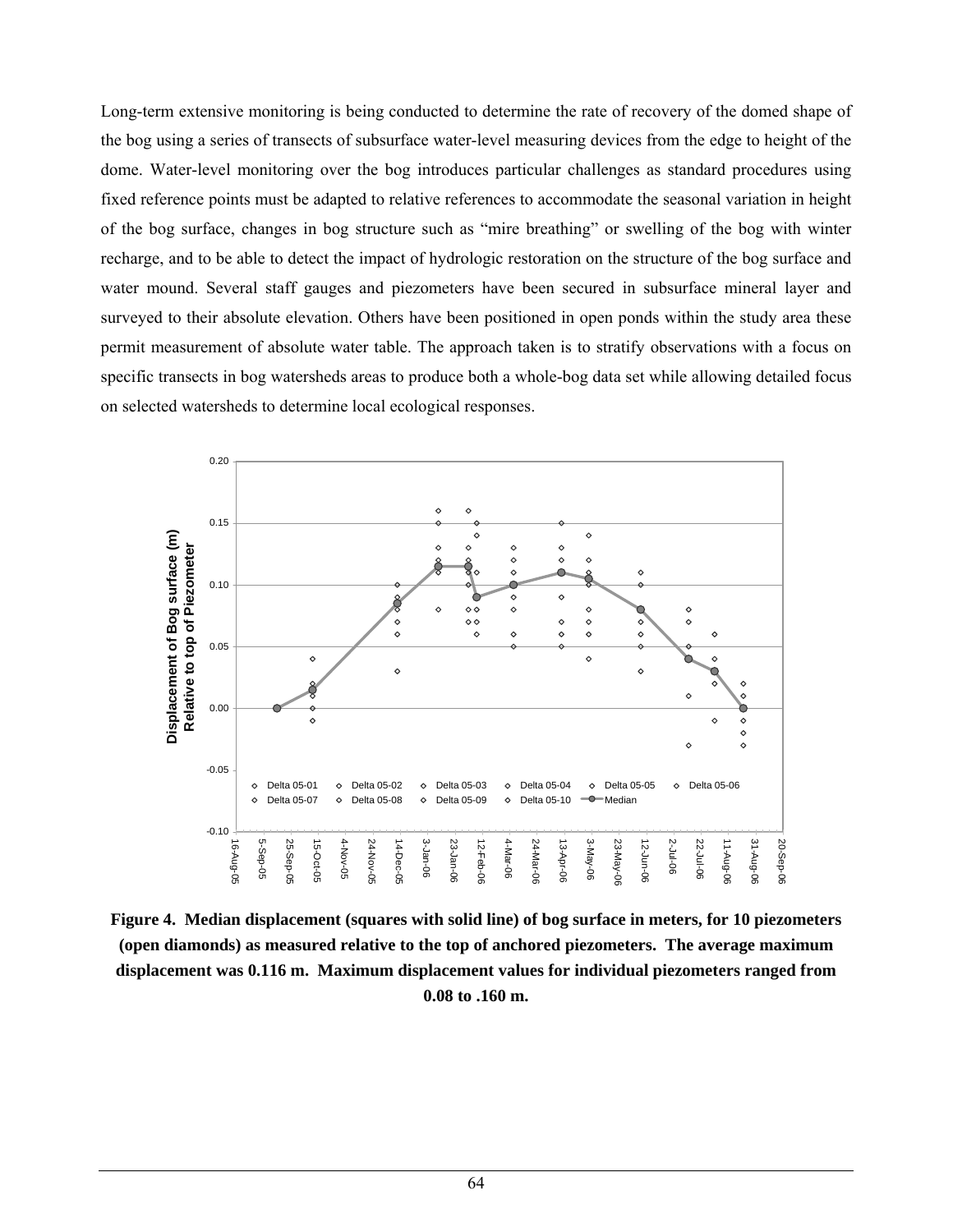Long-term extensive monitoring is being conducted to determine the rate of recovery of the domed shape of the bog using a series of transects of subsurface water-level measuring devices from the edge to height of the dome. Water-level monitoring over the bog introduces particular challenges as standard procedures using fixed reference points must be adapted to relative references to accommodate the seasonal variation in height of the bog surface, changes in bog structure such as "mire breathing" or swelling of the bog with winter recharge, and to be able to detect the impact of hydrologic restoration on the structure of the bog surface and water mound. Several staff gauges and piezometers have been secured in subsurface mineral layer and surveyed to their absolute elevation. Others have been positioned in open ponds within the study area these permit measurement of absolute water table. The approach taken is to stratify observations with a focus on specific transects in bog watersheds areas to produce both a whole-bog data set while allowing detailed focus on selected watersheds to determine local ecological responses.



**Figure 4. Median displacement (squares with solid line) of bog surface in meters, for 10 piezometers (open diamonds) as measured relative to the top of anchored piezometers. The average maximum displacement was 0.116 m. Maximum displacement values for individual piezometers ranged from 0.08 to .160 m.**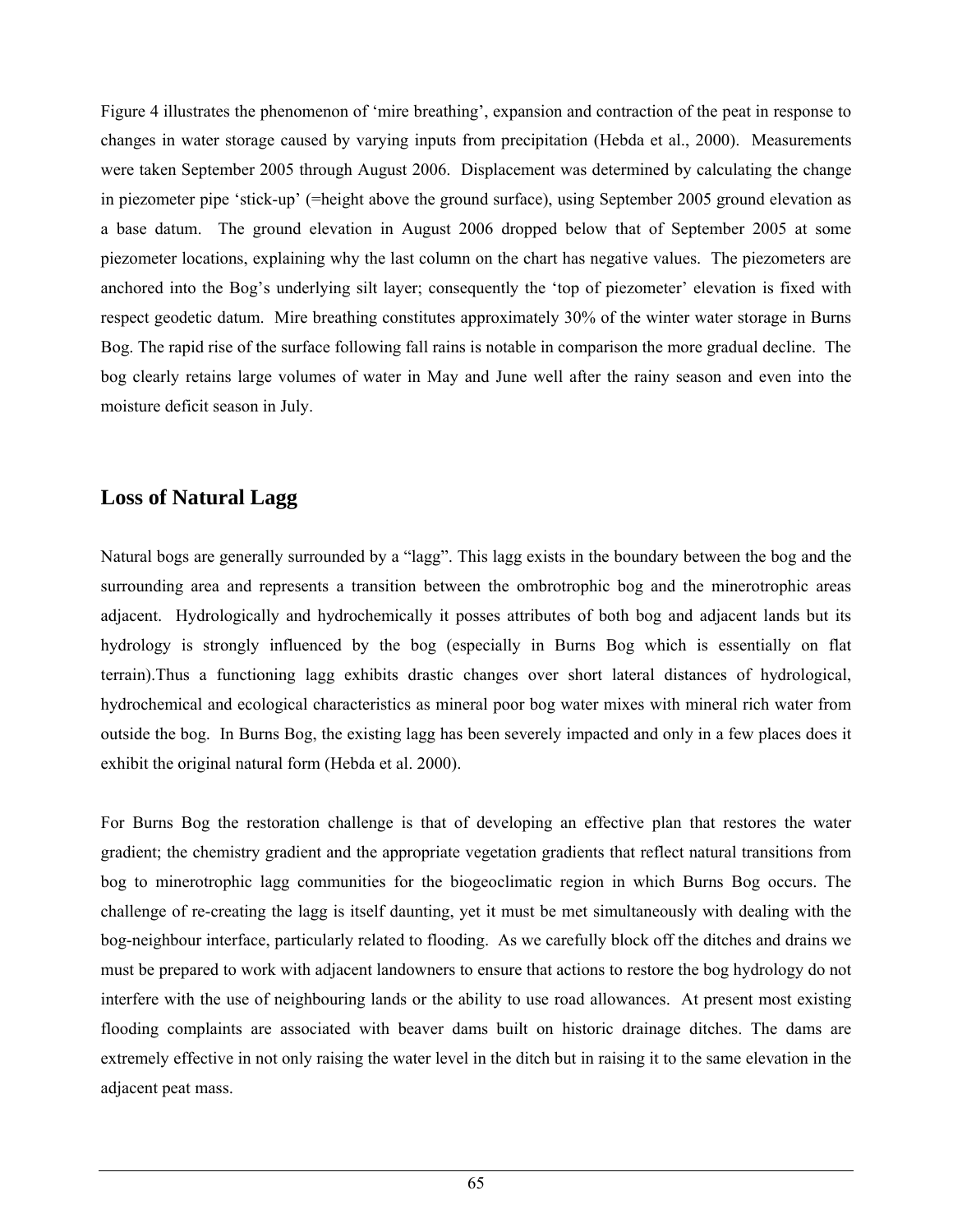Figure 4 illustrates the phenomenon of 'mire breathing', expansion and contraction of the peat in response to changes in water storage caused by varying inputs from precipitation (Hebda et al., 2000). Measurements were taken September 2005 through August 2006. Displacement was determined by calculating the change in piezometer pipe 'stick-up' (=height above the ground surface), using September 2005 ground elevation as a base datum. The ground elevation in August 2006 dropped below that of September 2005 at some piezometer locations, explaining why the last column on the chart has negative values. The piezometers are anchored into the Bog's underlying silt layer; consequently the 'top of piezometer' elevation is fixed with respect geodetic datum. Mire breathing constitutes approximately 30% of the winter water storage in Burns Bog. The rapid rise of the surface following fall rains is notable in comparison the more gradual decline. The bog clearly retains large volumes of water in May and June well after the rainy season and even into the moisture deficit season in July.

## **Loss of Natural Lagg**

Natural bogs are generally surrounded by a "lagg". This lagg exists in the boundary between the bog and the surrounding area and represents a transition between the ombrotrophic bog and the minerotrophic areas adjacent. Hydrologically and hydrochemically it posses attributes of both bog and adjacent lands but its hydrology is strongly influenced by the bog (especially in Burns Bog which is essentially on flat terrain).Thus a functioning lagg exhibits drastic changes over short lateral distances of hydrological, hydrochemical and ecological characteristics as mineral poor bog water mixes with mineral rich water from outside the bog. In Burns Bog, the existing lagg has been severely impacted and only in a few places does it exhibit the original natural form (Hebda et al. 2000).

For Burns Bog the restoration challenge is that of developing an effective plan that restores the water gradient; the chemistry gradient and the appropriate vegetation gradients that reflect natural transitions from bog to minerotrophic lagg communities for the biogeoclimatic region in which Burns Bog occurs. The challenge of re-creating the lagg is itself daunting, yet it must be met simultaneously with dealing with the bog-neighbour interface, particularly related to flooding. As we carefully block off the ditches and drains we must be prepared to work with adjacent landowners to ensure that actions to restore the bog hydrology do not interfere with the use of neighbouring lands or the ability to use road allowances. At present most existing flooding complaints are associated with beaver dams built on historic drainage ditches. The dams are extremely effective in not only raising the water level in the ditch but in raising it to the same elevation in the adjacent peat mass.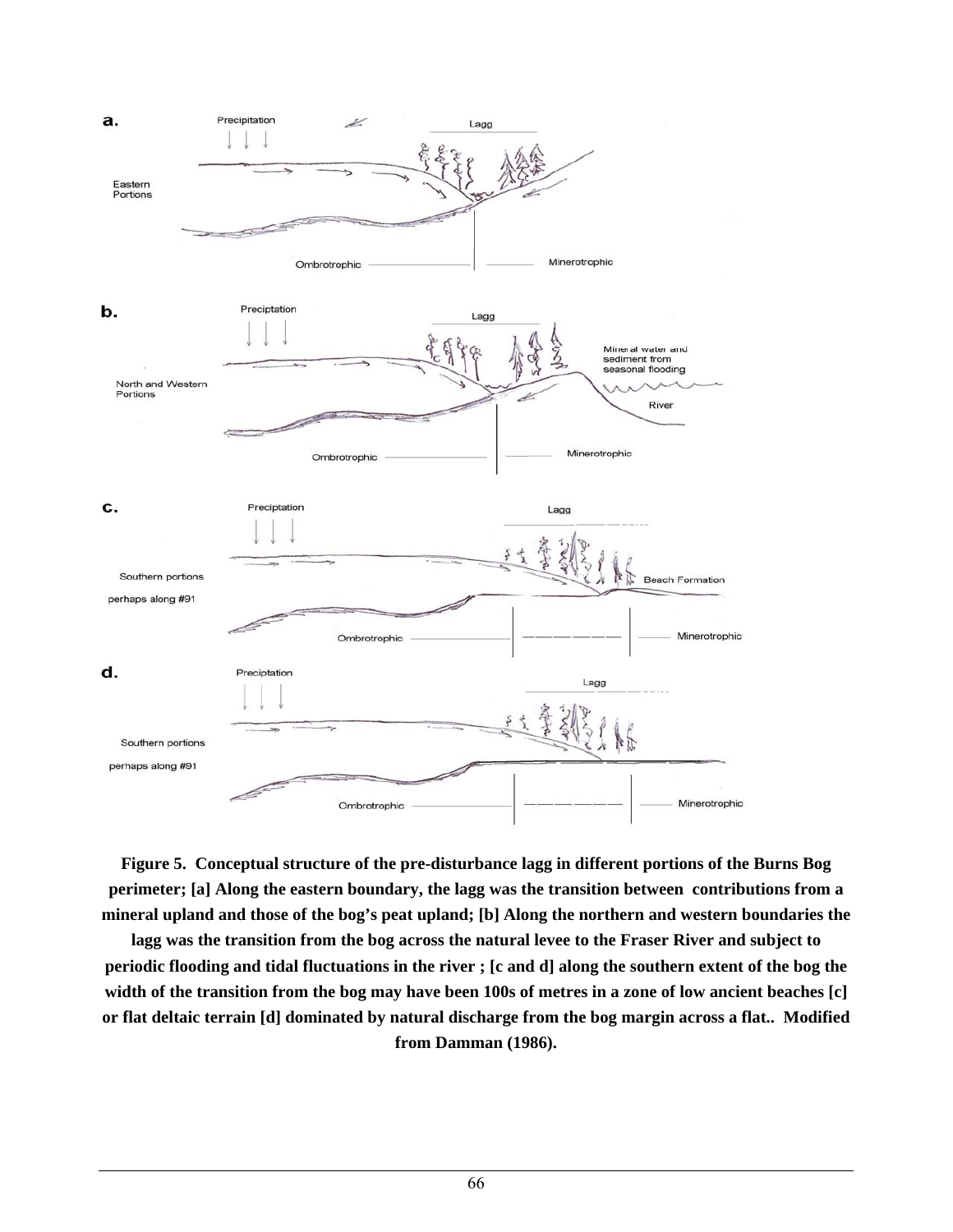

**Figure 5. Conceptual structure of the pre-disturbance lagg in different portions of the Burns Bog perimeter; [a] Along the eastern boundary, the lagg was the transition between contributions from a mineral upland and those of the bog's peat upland; [b] Along the northern and western boundaries the** 

**lagg was the transition from the bog across the natural levee to the Fraser River and subject to periodic flooding and tidal fluctuations in the river ; [c and d] along the southern extent of the bog the width of the transition from the bog may have been 100s of metres in a zone of low ancient beaches [c] or flat deltaic terrain [d] dominated by natural discharge from the bog margin across a flat.. Modified from Damman (1986).**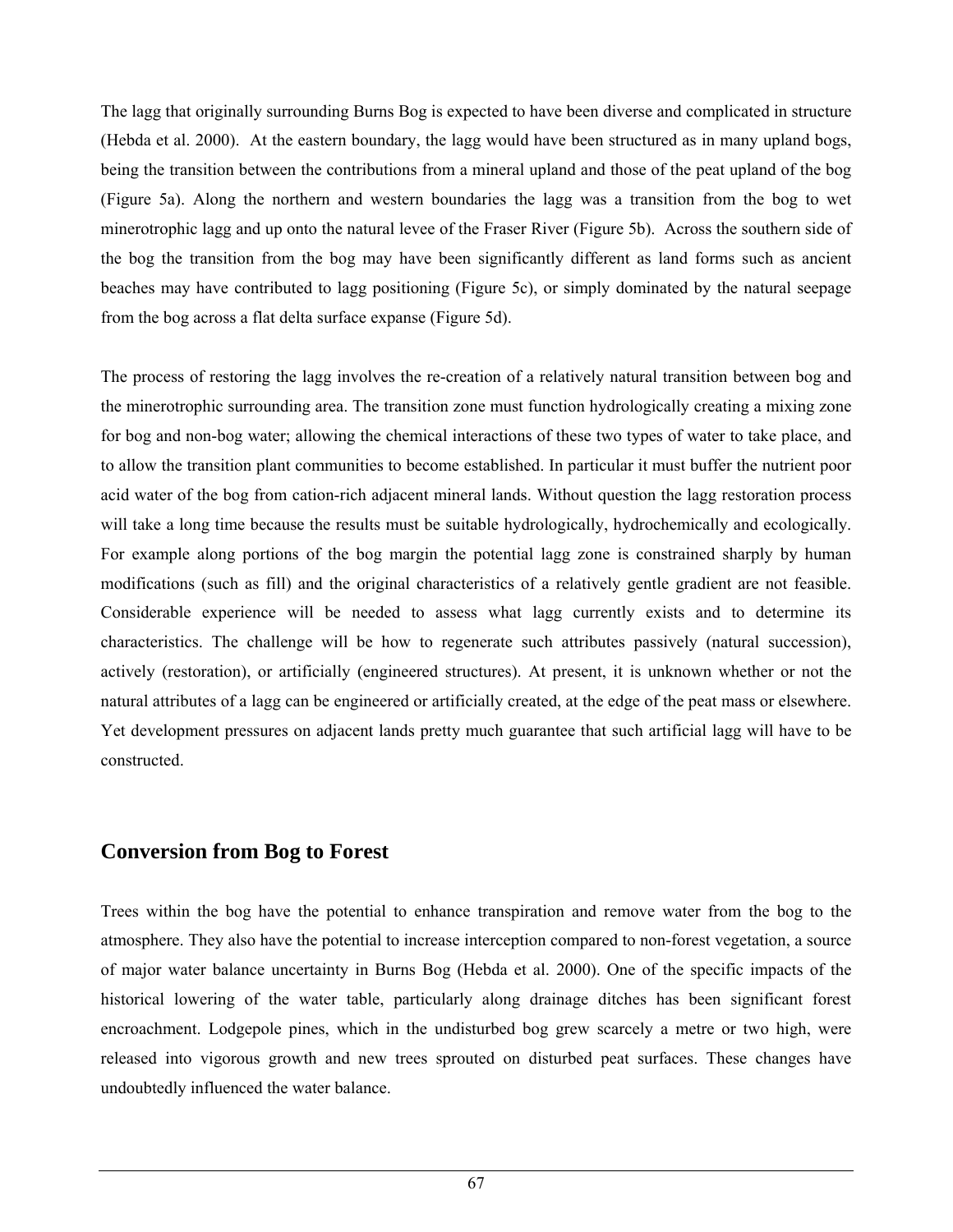The lagg that originally surrounding Burns Bog is expected to have been diverse and complicated in structure (Hebda et al. 2000). At the eastern boundary, the lagg would have been structured as in many upland bogs, being the transition between the contributions from a mineral upland and those of the peat upland of the bog (Figure 5a). Along the northern and western boundaries the lagg was a transition from the bog to wet minerotrophic lagg and up onto the natural levee of the Fraser River (Figure 5b). Across the southern side of the bog the transition from the bog may have been significantly different as land forms such as ancient beaches may have contributed to lagg positioning (Figure 5c), or simply dominated by the natural seepage from the bog across a flat delta surface expanse (Figure 5d).

The process of restoring the lagg involves the re-creation of a relatively natural transition between bog and the minerotrophic surrounding area. The transition zone must function hydrologically creating a mixing zone for bog and non-bog water; allowing the chemical interactions of these two types of water to take place, and to allow the transition plant communities to become established. In particular it must buffer the nutrient poor acid water of the bog from cation-rich adjacent mineral lands. Without question the lagg restoration process will take a long time because the results must be suitable hydrologically, hydrochemically and ecologically. For example along portions of the bog margin the potential lagg zone is constrained sharply by human modifications (such as fill) and the original characteristics of a relatively gentle gradient are not feasible. Considerable experience will be needed to assess what lagg currently exists and to determine its characteristics. The challenge will be how to regenerate such attributes passively (natural succession), actively (restoration), or artificially (engineered structures). At present, it is unknown whether or not the natural attributes of a lagg can be engineered or artificially created, at the edge of the peat mass or elsewhere. Yet development pressures on adjacent lands pretty much guarantee that such artificial lagg will have to be constructed.

#### **Conversion from Bog to Forest**

Trees within the bog have the potential to enhance transpiration and remove water from the bog to the atmosphere. They also have the potential to increase interception compared to non-forest vegetation, a source of major water balance uncertainty in Burns Bog (Hebda et al. 2000). One of the specific impacts of the historical lowering of the water table, particularly along drainage ditches has been significant forest encroachment. Lodgepole pines, which in the undisturbed bog grew scarcely a metre or two high, were released into vigorous growth and new trees sprouted on disturbed peat surfaces. These changes have undoubtedly influenced the water balance.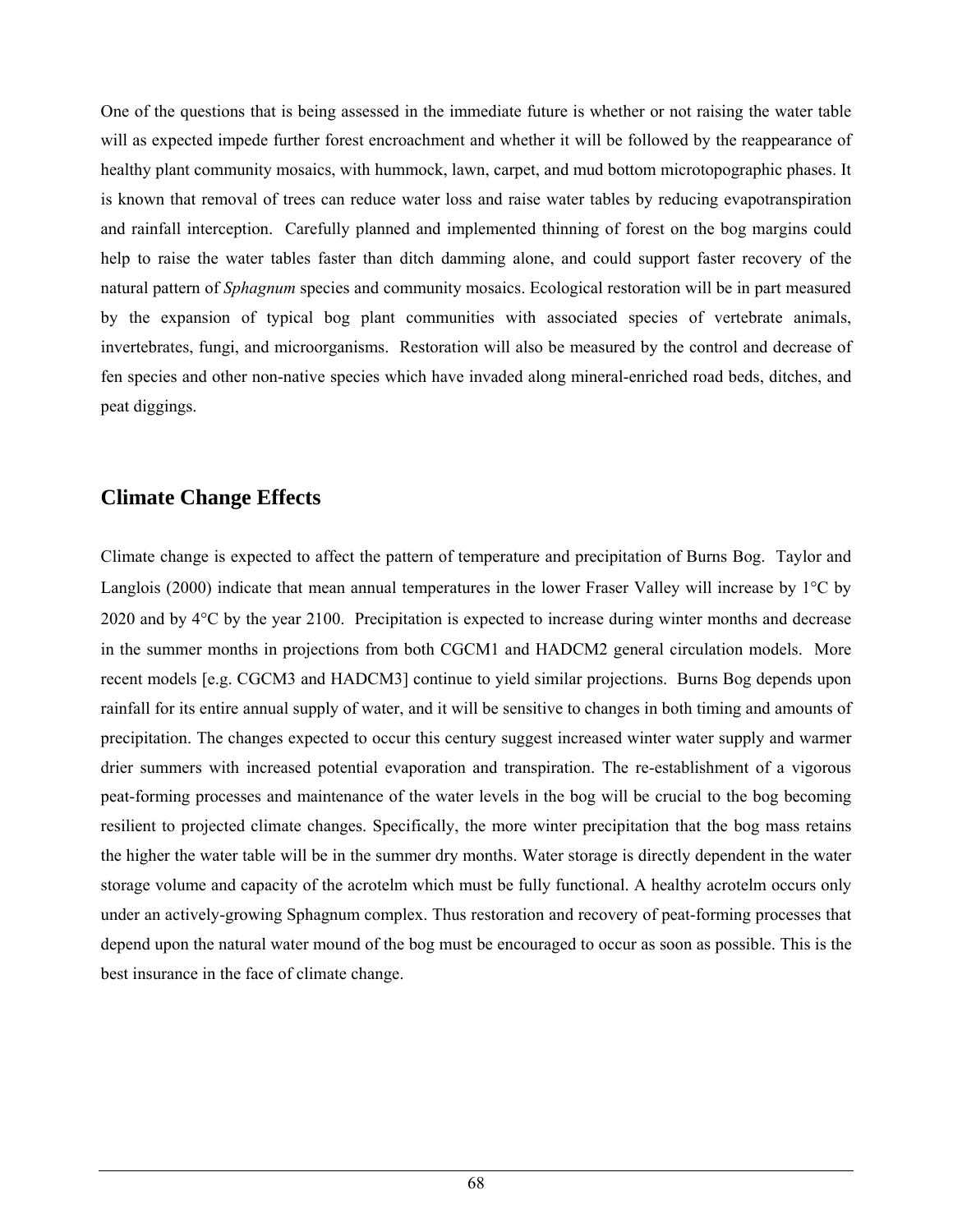One of the questions that is being assessed in the immediate future is whether or not raising the water table will as expected impede further forest encroachment and whether it will be followed by the reappearance of healthy plant community mosaics, with hummock, lawn, carpet, and mud bottom microtopographic phases. It is known that removal of trees can reduce water loss and raise water tables by reducing evapotranspiration and rainfall interception. Carefully planned and implemented thinning of forest on the bog margins could help to raise the water tables faster than ditch damming alone, and could support faster recovery of the natural pattern of *Sphagnum* species and community mosaics. Ecological restoration will be in part measured by the expansion of typical bog plant communities with associated species of vertebrate animals, invertebrates, fungi, and microorganisms. Restoration will also be measured by the control and decrease of fen species and other non-native species which have invaded along mineral-enriched road beds, ditches, and peat diggings.

# **Climate Change Effects**

Climate change is expected to affect the pattern of temperature and precipitation of Burns Bog. Taylor and Langlois (2000) indicate that mean annual temperatures in the lower Fraser Valley will increase by 1°C by 2020 and by 4°C by the year 2100. Precipitation is expected to increase during winter months and decrease in the summer months in projections from both CGCM1 and HADCM2 general circulation models. More recent models [e.g. CGCM3 and HADCM3] continue to yield similar projections. Burns Bog depends upon rainfall for its entire annual supply of water, and it will be sensitive to changes in both timing and amounts of precipitation. The changes expected to occur this century suggest increased winter water supply and warmer drier summers with increased potential evaporation and transpiration. The re-establishment of a vigorous peat-forming processes and maintenance of the water levels in the bog will be crucial to the bog becoming resilient to projected climate changes. Specifically, the more winter precipitation that the bog mass retains the higher the water table will be in the summer dry months. Water storage is directly dependent in the water storage volume and capacity of the acrotelm which must be fully functional. A healthy acrotelm occurs only under an actively-growing Sphagnum complex. Thus restoration and recovery of peat-forming processes that depend upon the natural water mound of the bog must be encouraged to occur as soon as possible. This is the best insurance in the face of climate change.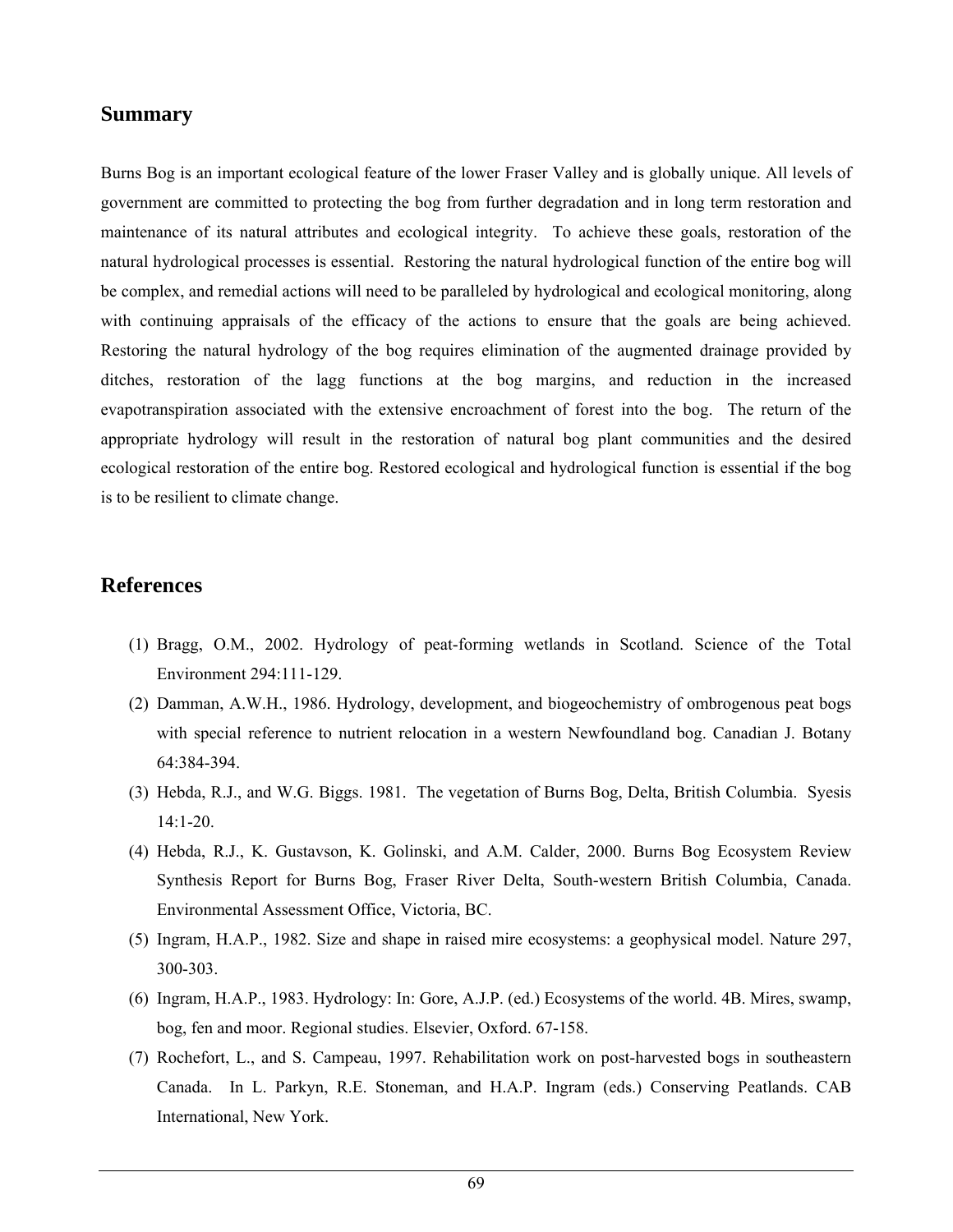#### **Summary**

Burns Bog is an important ecological feature of the lower Fraser Valley and is globally unique. All levels of government are committed to protecting the bog from further degradation and in long term restoration and maintenance of its natural attributes and ecological integrity. To achieve these goals, restoration of the natural hydrological processes is essential. Restoring the natural hydrological function of the entire bog will be complex, and remedial actions will need to be paralleled by hydrological and ecological monitoring, along with continuing appraisals of the efficacy of the actions to ensure that the goals are being achieved. Restoring the natural hydrology of the bog requires elimination of the augmented drainage provided by ditches, restoration of the lagg functions at the bog margins, and reduction in the increased evapotranspiration associated with the extensive encroachment of forest into the bog. The return of the appropriate hydrology will result in the restoration of natural bog plant communities and the desired ecological restoration of the entire bog. Restored ecological and hydrological function is essential if the bog is to be resilient to climate change.

#### **References**

- (1) Bragg, O.M., 2002. Hydrology of peat-forming wetlands in Scotland. Science of the Total Environment 294:111-129.
- (2) Damman, A.W.H., 1986. Hydrology, development, and biogeochemistry of ombrogenous peat bogs with special reference to nutrient relocation in a western Newfoundland bog. Canadian J. Botany 64:384-394.
- (3) Hebda, R.J., and W.G. Biggs. 1981. The vegetation of Burns Bog, Delta, British Columbia. Syesis 14:1-20.
- (4) Hebda, R.J., K. Gustavson, K. Golinski, and A.M. Calder, 2000. Burns Bog Ecosystem Review Synthesis Report for Burns Bog, Fraser River Delta, South-western British Columbia, Canada. Environmental Assessment Office, Victoria, BC.
- (5) Ingram, H.A.P., 1982. Size and shape in raised mire ecosystems: a geophysical model. Nature 297, 300-303.
- (6) Ingram, H.A.P., 1983. Hydrology: In: Gore, A.J.P. (ed.) Ecosystems of the world. 4B. Mires, swamp, bog, fen and moor. Regional studies. Elsevier, Oxford. 67-158.
- (7) Rochefort, L., and S. Campeau, 1997. Rehabilitation work on post-harvested bogs in southeastern Canada. In L. Parkyn, R.E. Stoneman, and H.A.P. Ingram (eds.) Conserving Peatlands. CAB International, New York.